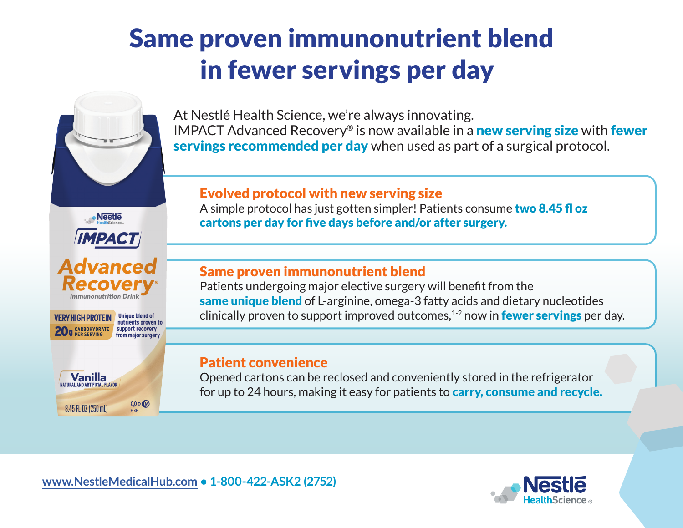# Same proven immunonutrient blend in fewer servings per day



· Nestle

**MPACT** 

dvanced

**Unique blend of** 

from major surgery

 $OD$ 

nutrients proven to

Immunonutrition Drini

VERY HIGH PROTEIN

**CARBOHYDRATE** 

**Vanilla** 

8.45 FL 0Z (250 mL)

At Nestlé Health Science, we're always innovating. IMPACT Advanced Recovery<sup>®</sup> is now available in a **new serving size** with **fewer** servings recommended per day when used as part of a surgical protocol.

### Evolved protocol with new serving size

A simple protocol has just gotten simpler! Patients consume two 8.45 fl oz cartons per day for five days before and/or after surgery.

#### Same proven immunonutrient blend

Patients undergoing major elective surgery will benefit from the same unique blend of L-arginine, omega-3 fatty acids and dietary nucleotides clinically proven to support improved outcomes, $1-2$  now in **fewer servings** per day.

#### Patient convenience

Opened cartons can be reclosed and conveniently stored in the refrigerator for up to 24 hours, making it easy for patients to **carry, consume and recycle.**